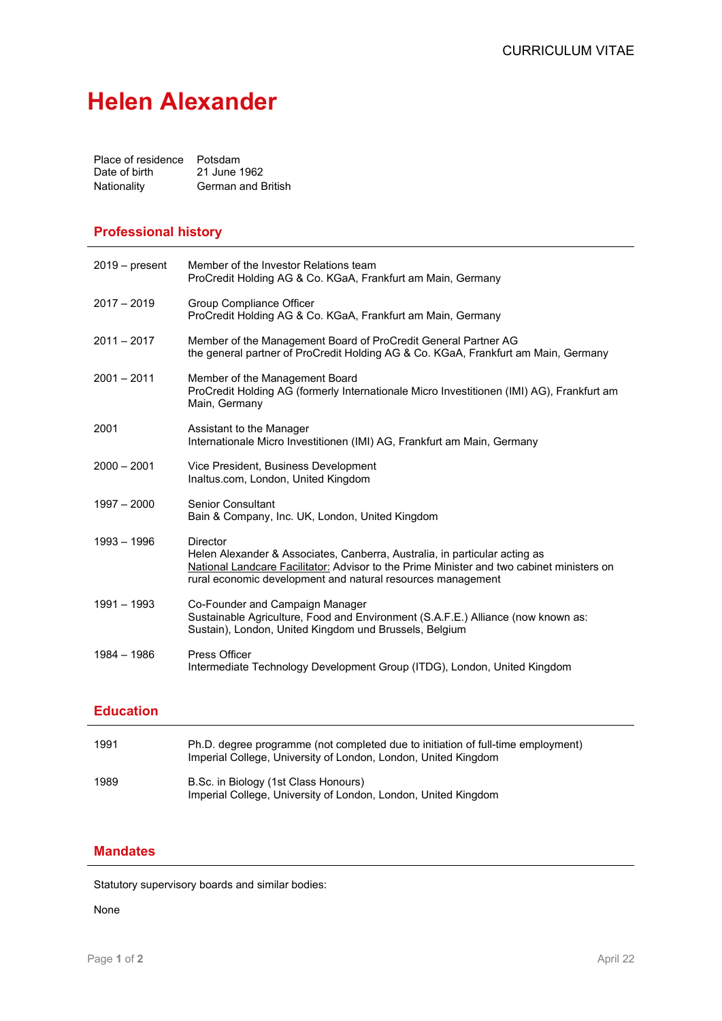# **Helen Alexander**

| Place of residence Potsdam |                    |
|----------------------------|--------------------|
| Date of birth              | 21 June 1962       |
| Nationality                | German and British |

#### **Professional history**

| $2019 - present$ | Member of the Investor Relations team<br>ProCredit Holding AG & Co. KGaA, Frankfurt am Main, Germany                                                                                                                                                      |
|------------------|-----------------------------------------------------------------------------------------------------------------------------------------------------------------------------------------------------------------------------------------------------------|
| $2017 - 2019$    | Group Compliance Officer<br>ProCredit Holding AG & Co. KGaA, Frankfurt am Main, Germany                                                                                                                                                                   |
| $2011 - 2017$    | Member of the Management Board of ProCredit General Partner AG<br>the general partner of ProCredit Holding AG & Co. KGaA, Frankfurt am Main, Germany                                                                                                      |
| $2001 - 2011$    | Member of the Management Board<br>ProCredit Holding AG (formerly Internationale Micro Investitionen (IMI) AG), Frankfurt am<br>Main, Germany                                                                                                              |
| 2001             | Assistant to the Manager<br>Internationale Micro Investitionen (IMI) AG, Frankfurt am Main, Germany                                                                                                                                                       |
| $2000 - 2001$    | Vice President, Business Development<br>Inaltus.com, London, United Kingdom                                                                                                                                                                               |
| $1997 - 2000$    | <b>Senior Consultant</b><br>Bain & Company, Inc. UK, London, United Kingdom                                                                                                                                                                               |
| $1993 - 1996$    | <b>Director</b><br>Helen Alexander & Associates, Canberra, Australia, in particular acting as<br>National Landcare Facilitator: Advisor to the Prime Minister and two cabinet ministers on<br>rural economic development and natural resources management |
| $1991 - 1993$    | Co-Founder and Campaign Manager<br>Sustainable Agriculture, Food and Environment (S.A.F.E.) Alliance (now known as:<br>Sustain), London, United Kingdom und Brussels, Belgium                                                                             |
| $1984 - 1986$    | Press Officer<br>Intermediate Technology Development Group (ITDG), London, United Kingdom                                                                                                                                                                 |

## **Education**

| 1991 | Ph.D. degree programme (not completed due to initiation of full-time employment)<br>Imperial College, University of London, London, United Kingdom |
|------|----------------------------------------------------------------------------------------------------------------------------------------------------|
| 1989 | B.Sc. in Biology (1st Class Honours)<br>Imperial College, University of London, London, United Kingdom                                             |

## **Mandates**

Statutory supervisory boards and similar bodies:

None